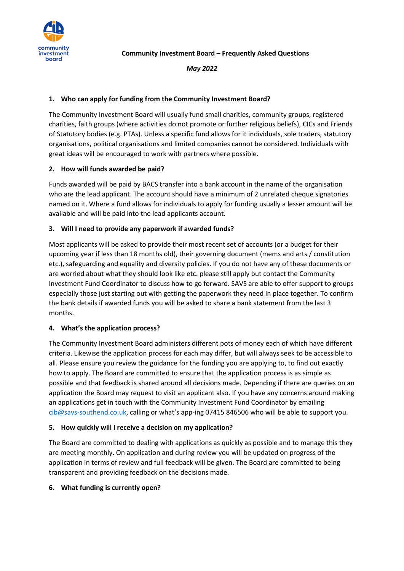

**Community Investment Board – Frequently Asked Questions**

*May 2022*

# **1. Who can apply for funding from the Community Investment Board?**

The Community Investment Board will usually fund small charities, community groups, registered charities, faith groups (where activities do not promote or further religious beliefs), CICs and Friends of Statutory bodies (e.g. PTAs). Unless a specific fund allows for it individuals, sole traders, statutory organisations, political organisations and limited companies cannot be considered. Individuals with great ideas will be encouraged to work with partners where possible.

# **2. How will funds awarded be paid?**

Funds awarded will be paid by BACS transfer into a bank account in the name of the organisation who are the lead applicant. The account should have a minimum of 2 unrelated cheque signatories named on it. Where a fund allows for individuals to apply for funding usually a lesser amount will be available and will be paid into the lead applicants account.

# **3. Will I need to provide any paperwork if awarded funds?**

Most applicants will be asked to provide their most recent set of accounts (or a budget for their upcoming year if less than 18 months old), their governing document (mems and arts / constitution etc.), safeguarding and equality and diversity policies. If you do not have any of these documents or are worried about what they should look like etc. please still apply but contact the Community Investment Fund Coordinator to discuss how to go forward. SAVS are able to offer support to groups especially those just starting out with getting the paperwork they need in place together. To confirm the bank details if awarded funds you will be asked to share a bank statement from the last 3 months.

## **4. What's the application process?**

The Community Investment Board administers different pots of money each of which have different criteria. Likewise the application process for each may differ, but will always seek to be accessible to all. Please ensure you review the guidance for the funding you are applying to, to find out exactly how to apply. The Board are committed to ensure that the application process is as simple as possible and that feedback is shared around all decisions made. Depending if there are queries on an application the Board may request to visit an applicant also. If you have any concerns around making an applications get in touch with the Community Investment Fund Coordinator by emailing [cib@savs-southend.co.uk,](mailto:cib@savs-southend.co.uk) calling or what's app-ing 07415 846506 who will be able to support you.

## **5. How quickly will I receive a decision on my application?**

The Board are committed to dealing with applications as quickly as possible and to manage this they are meeting monthly. On application and during review you will be updated on progress of the application in terms of review and full feedback will be given. The Board are committed to being transparent and providing feedback on the decisions made.

## **6. What funding is currently open?**